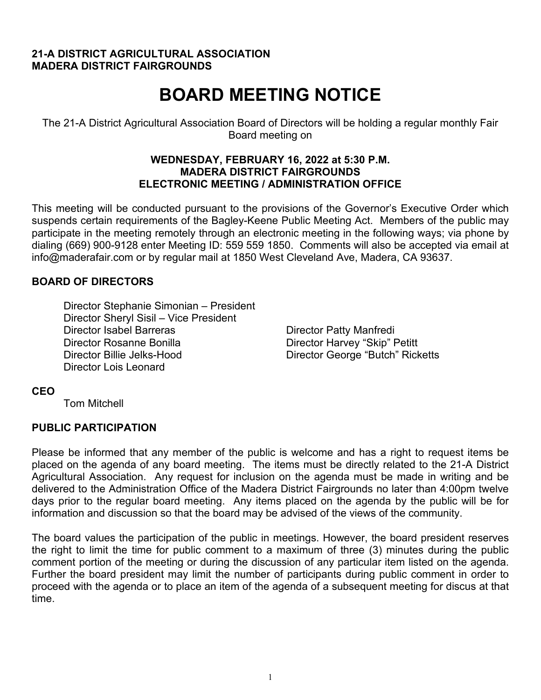#### **21-A DISTRICT AGRICULTURAL ASSOCIATION MADERA DISTRICT FAIRGROUNDS**

# **BOARD MEETING NOTICE**

The 21-A District Agricultural Association Board of Directors will be holding a regular monthly Fair Board meeting on

#### **WEDNESDAY, FEBRUARY 16, 2022 at 5:30 P.M. MADERA DISTRICT FAIRGROUNDS ELECTRONIC MEETING / ADMINISTRATION OFFICE**

This meeting will be conducted pursuant to the provisions of the Governor's Executive Order which suspends certain requirements of the Bagley-Keene Public Meeting Act. Members of the public may participate in the meeting remotely through an electronic meeting in the following ways; via phone by dialing (669) 900-9128 enter Meeting ID: 559 559 1850. Comments will also be accepted via email at info@maderafair.com or by regular mail at 1850 West Cleveland Ave, Madera, CA 93637.

# **BOARD OF DIRECTORS**

Director Stephanie Simonian – President Director Sheryl Sisil – Vice President Director Isabel Barreras **Director Patty Manfredi** Director Rosanne Bonilla Director Harvey "Skip" Petitt Director Billie Jelks-Hood Director George "Butch" Ricketts Director Lois Leonard

#### **CEO**

Tom Mitchell

# **PUBLIC PARTICIPATION**

Please be informed that any member of the public is welcome and has a right to request items be placed on the agenda of any board meeting. The items must be directly related to the 21-A District Agricultural Association. Any request for inclusion on the agenda must be made in writing and be delivered to the Administration Office of the Madera District Fairgrounds no later than 4:00pm twelve days prior to the regular board meeting. Any items placed on the agenda by the public will be for information and discussion so that the board may be advised of the views of the community.

The board values the participation of the public in meetings. However, the board president reserves the right to limit the time for public comment to a maximum of three (3) minutes during the public comment portion of the meeting or during the discussion of any particular item listed on the agenda. Further the board president may limit the number of participants during public comment in order to proceed with the agenda or to place an item of the agenda of a subsequent meeting for discus at that time.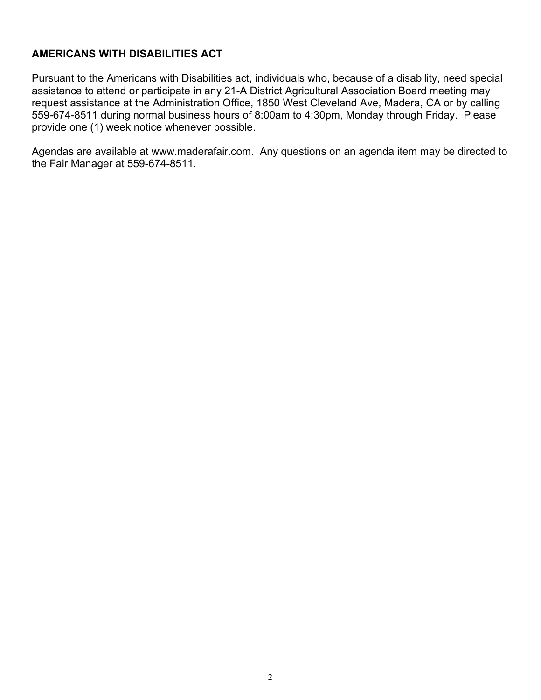# **AMERICANS WITH DISABILITIES ACT**

Pursuant to the Americans with Disabilities act, individuals who, because of a disability, need special assistance to attend or participate in any 21-A District Agricultural Association Board meeting may request assistance at the Administration Office, 1850 West Cleveland Ave, Madera, CA or by calling 559-674-8511 during normal business hours of 8:00am to 4:30pm, Monday through Friday. Please provide one (1) week notice whenever possible.

Agendas are available at www.maderafair.com. Any questions on an agenda item may be directed to the Fair Manager at 559-674-8511.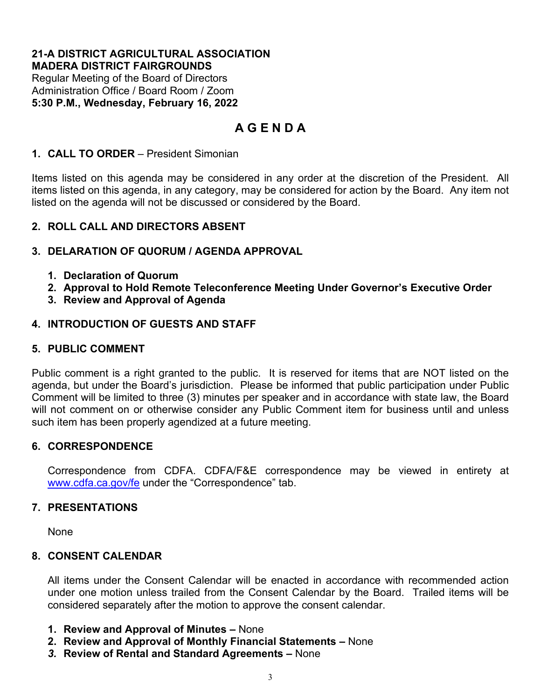#### **21-A DISTRICT AGRICULTURAL ASSOCIATION MADERA DISTRICT FAIRGROUNDS**

Regular Meeting of the Board of Directors Administration Office / Board Room / Zoom **5:30 P.M., Wednesday, February 16, 2022**

# **A G E N D A**

# **1. CALL TO ORDER** – President Simonian

Items listed on this agenda may be considered in any order at the discretion of the President. All items listed on this agenda, in any category, may be considered for action by the Board. Any item not listed on the agenda will not be discussed or considered by the Board.

# **2. ROLL CALL AND DIRECTORS ABSENT**

# **3. DELARATION OF QUORUM / AGENDA APPROVAL**

- **1. Declaration of Quorum**
- **2. Approval to Hold Remote Teleconference Meeting Under Governor's Executive Order**
- **3. Review and Approval of Agenda**

# **4. INTRODUCTION OF GUESTS AND STAFF**

#### **5. PUBLIC COMMENT**

Public comment is a right granted to the public. It is reserved for items that are NOT listed on the agenda, but under the Board's jurisdiction. Please be informed that public participation under Public Comment will be limited to three (3) minutes per speaker and in accordance with state law, the Board will not comment on or otherwise consider any Public Comment item for business until and unless such item has been properly agendized at a future meeting.

#### **6. CORRESPONDENCE**

Correspondence from CDFA. CDFA/F&E correspondence may be viewed in entirety at [www.cdfa.ca.gov/fe](http://www.cdfa.ca.gov/fe) under the "Correspondence" tab.

#### **7. PRESENTATIONS**

None

#### **8. CONSENT CALENDAR**

All items under the Consent Calendar will be enacted in accordance with recommended action under one motion unless trailed from the Consent Calendar by the Board. Trailed items will be considered separately after the motion to approve the consent calendar.

- **1. Review and Approval of Minutes –** None
- **2. Review and Approval of Monthly Financial Statements –** None
- *3.* **Review of Rental and Standard Agreements –** None